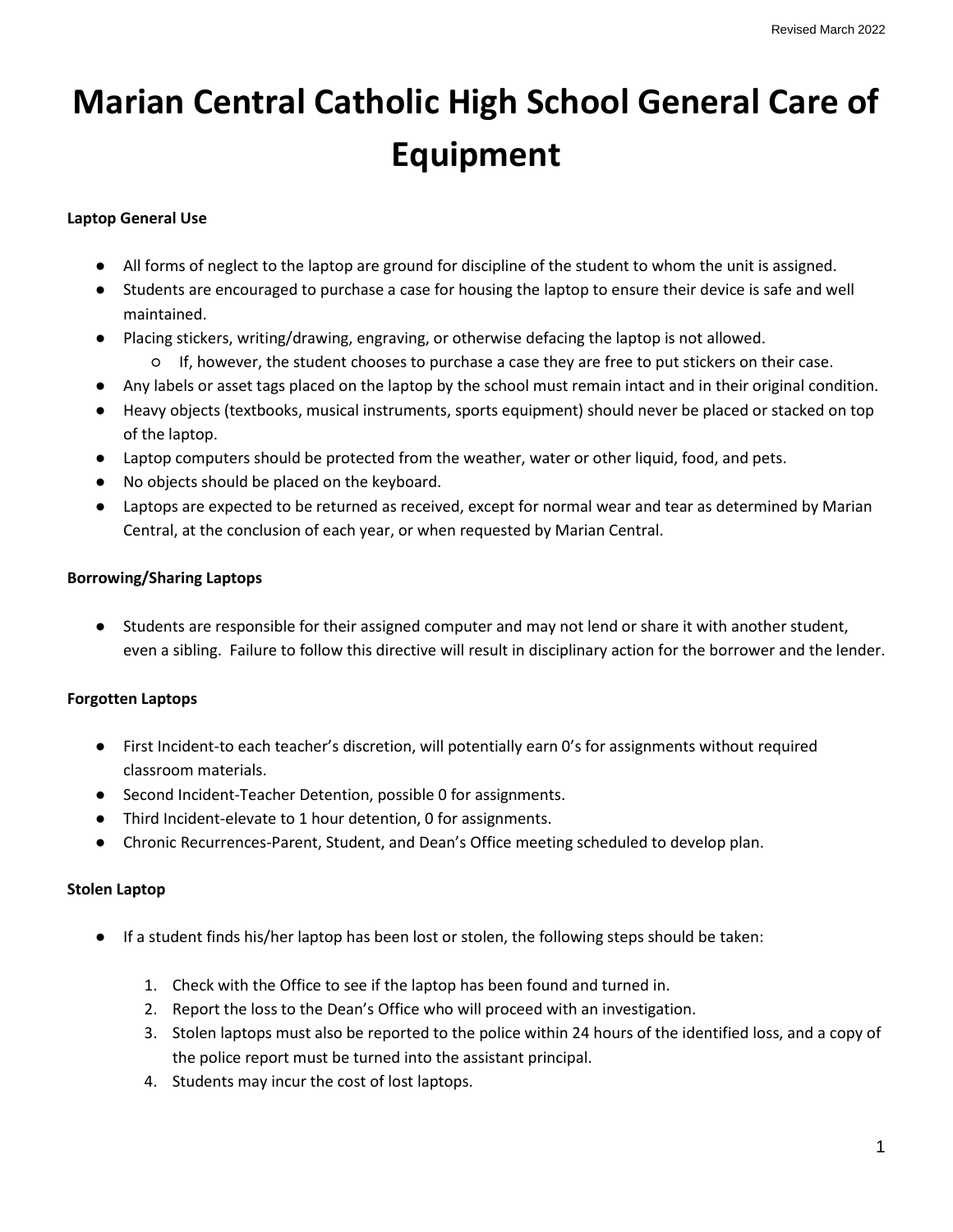# **Marian Central Catholic High School General Care of Equipment**

### **Laptop General Use**

- All forms of neglect to the laptop are ground for discipline of the student to whom the unit is assigned.
- Students are encouraged to purchase a case for housing the laptop to ensure their device is safe and well maintained.
- Placing stickers, writing/drawing, engraving, or otherwise defacing the laptop is not allowed.
	- If, however, the student chooses to purchase a case they are free to put stickers on their case.
- Any labels or asset tags placed on the laptop by the school must remain intact and in their original condition.
- Heavy objects (textbooks, musical instruments, sports equipment) should never be placed or stacked on top of the laptop.
- Laptop computers should be protected from the weather, water or other liquid, food, and pets.
- No objects should be placed on the keyboard.
- Laptops are expected to be returned as received, except for normal wear and tear as determined by Marian Central, at the conclusion of each year, or when requested by Marian Central.

## **Borrowing/Sharing Laptops**

● Students are responsible for their assigned computer and may not lend or share it with another student, even a sibling. Failure to follow this directive will result in disciplinary action for the borrower and the lender.

### **Forgotten Laptops**

- First Incident-to each teacher's discretion, will potentially earn 0's for assignments without required classroom materials.
- Second Incident-Teacher Detention, possible 0 for assignments.
- Third Incident-elevate to 1 hour detention, 0 for assignments.
- Chronic Recurrences-Parent, Student, and Dean's Office meeting scheduled to develop plan.

### **Stolen Laptop**

- If a student finds his/her laptop has been lost or stolen, the following steps should be taken:
	- 1. Check with the Office to see if the laptop has been found and turned in.
	- 2. Report the loss to the Dean's Office who will proceed with an investigation.
	- 3. Stolen laptops must also be reported to the police within 24 hours of the identified loss, and a copy of the police report must be turned into the assistant principal.
	- 4. Students may incur the cost of lost laptops.